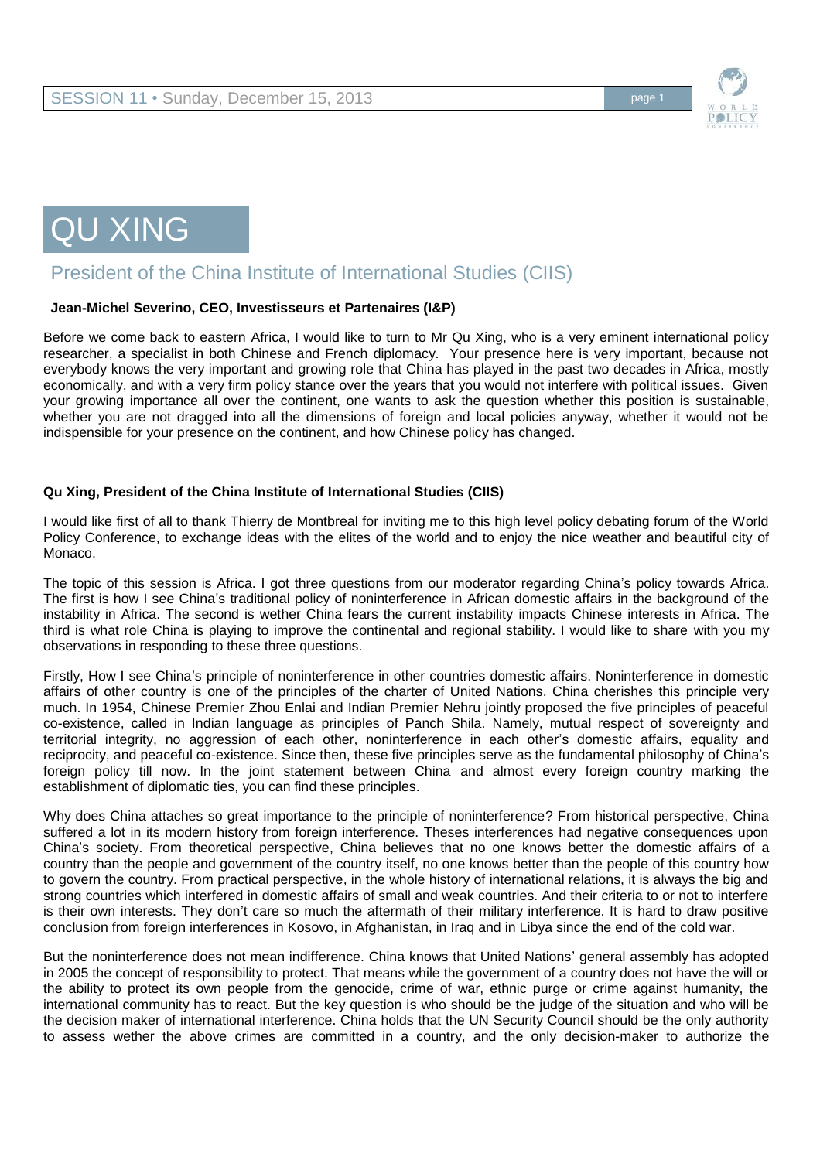

# QU XING

## President of the China Institute of International Studies (CIIS)

#### **Jean-Michel Severino, CEO, Investisseurs et Partenaires (I&P)**

Before we come back to eastern Africa, I would like to turn to Mr Qu Xing, who is a very eminent international policy researcher, a specialist in both Chinese and French diplomacy. Your presence here is very important, because not everybody knows the very important and growing role that China has played in the past two decades in Africa, mostly economically, and with a very firm policy stance over the years that you would not interfere with political issues. Given your growing importance all over the continent, one wants to ask the question whether this position is sustainable, whether you are not dragged into all the dimensions of foreign and local policies anyway, whether it would not be indispensible for your presence on the continent, and how Chinese policy has changed.

#### **Qu Xing, President of the China Institute of International Studies (CIIS)**

I would like first of all to thank Thierry de Montbreal for inviting me to this high level policy debating forum of the World Policy Conference, to exchange ideas with the elites of the world and to enjoy the nice weather and beautiful city of Monaco.

The topic of this session is Africa. I got three questions from our moderator regarding China's policy towards Africa. The first is how I see China's traditional policy of noninterference in African domestic affairs in the background of the instability in Africa. The second is wether China fears the current instability impacts Chinese interests in Africa. The third is what role China is playing to improve the continental and regional stability. I would like to share with you my observations in responding to these three questions.

Firstly, How I see China's principle of noninterference in other countries domestic affairs. Noninterference in domestic affairs of other country is one of the principles of the charter of United Nations. China cherishes this principle very much. In 1954, Chinese Premier Zhou Enlai and Indian Premier Nehru jointly proposed the five principles of peaceful co-existence, called in Indian language as principles of Panch Shila. Namely, mutual respect of sovereignty and territorial integrity, no aggression of each other, noninterference in each other's domestic affairs, equality and reciprocity, and peaceful co-existence. Since then, these five principles serve as the fundamental philosophy of China's foreign policy till now. In the joint statement between China and almost every foreign country marking the establishment of diplomatic ties, you can find these principles.

Why does China attaches so great importance to the principle of noninterference? From historical perspective, China suffered a lot in its modern history from foreign interference. Theses interferences had negative consequences upon China's society. From theoretical perspective, China believes that no one knows better the domestic affairs of a country than the people and government of the country itself, no one knows better than the people of this country how to govern the country. From practical perspective, in the whole history of international relations, it is always the big and strong countries which interfered in domestic affairs of small and weak countries. And their criteria to or not to interfere is their own interests. They don't care so much the aftermath of their military interference. It is hard to draw positive conclusion from foreign interferences in Kosovo, in Afghanistan, in Iraq and in Libya since the end of the cold war.

But the noninterference does not mean indifference. China knows that United Nations' general assembly has adopted in 2005 the concept of responsibility to protect. That means while the government of a country does not have the will or the ability to protect its own people from the genocide, crime of war, ethnic purge or crime against humanity, the international community has to react. But the key question is who should be the judge of the situation and who will be the decision maker of international interference. China holds that the UN Security Council should be the only authority to assess wether the above crimes are committed in a country, and the only decision-maker to authorize the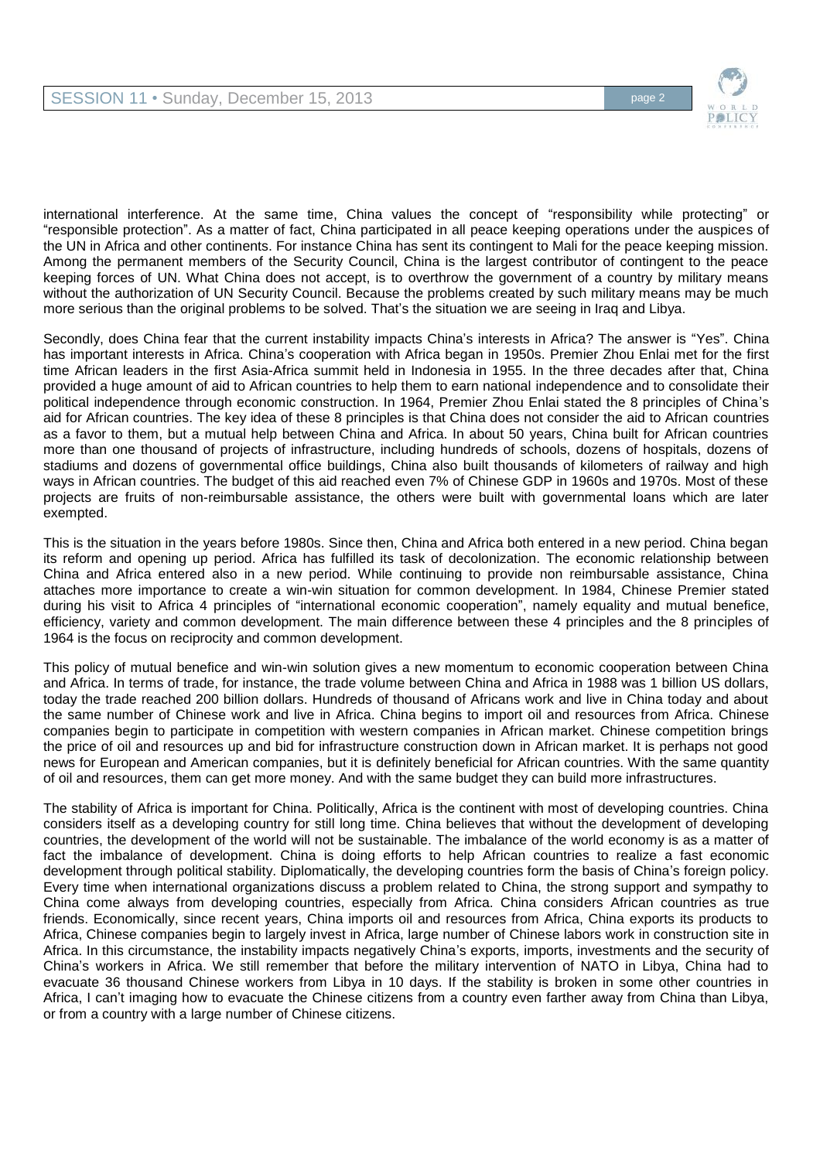

international interference. At the same time, China values the concept of "responsibility while protecting" or "responsible protection". As a matter of fact, China participated in all peace keeping operations under the auspices of the UN in Africa and other continents. For instance China has sent its contingent to Mali for the peace keeping mission. Among the permanent members of the Security Council, China is the largest contributor of contingent to the peace keeping forces of UN. What China does not accept, is to overthrow the government of a country by military means without the authorization of UN Security Council. Because the problems created by such military means may be much more serious than the original problems to be solved. That's the situation we are seeing in Iraq and Libya.

Secondly, does China fear that the current instability impacts China's interests in Africa? The answer is "Yes". China has important interests in Africa. China's cooperation with Africa began in 1950s. Premier Zhou Enlai met for the first time African leaders in the first Asia-Africa summit held in Indonesia in 1955. In the three decades after that, China provided a huge amount of aid to African countries to help them to earn national independence and to consolidate their political independence through economic construction. In 1964, Premier Zhou Enlai stated the 8 principles of China's aid for African countries. The key idea of these 8 principles is that China does not consider the aid to African countries as a favor to them, but a mutual help between China and Africa. In about 50 years, China built for African countries more than one thousand of projects of infrastructure, including hundreds of schools, dozens of hospitals, dozens of stadiums and dozens of governmental office buildings, China also built thousands of kilometers of railway and high ways in African countries. The budget of this aid reached even 7% of Chinese GDP in 1960s and 1970s. Most of these projects are fruits of non-reimbursable assistance, the others were built with governmental loans which are later exempted.

This is the situation in the years before 1980s. Since then, China and Africa both entered in a new period. China began its reform and opening up period. Africa has fulfilled its task of decolonization. The economic relationship between China and Africa entered also in a new period. While continuing to provide non reimbursable assistance, China attaches more importance to create a win-win situation for common development. In 1984, Chinese Premier stated during his visit to Africa 4 principles of "international economic cooperation", namely equality and mutual benefice, efficiency, variety and common development. The main difference between these 4 principles and the 8 principles of 1964 is the focus on reciprocity and common development.

This policy of mutual benefice and win-win solution gives a new momentum to economic cooperation between China and Africa. In terms of trade, for instance, the trade volume between China and Africa in 1988 was 1 billion US dollars, today the trade reached 200 billion dollars. Hundreds of thousand of Africans work and live in China today and about the same number of Chinese work and live in Africa. China begins to import oil and resources from Africa. Chinese companies begin to participate in competition with western companies in African market. Chinese competition brings the price of oil and resources up and bid for infrastructure construction down in African market. It is perhaps not good news for European and American companies, but it is definitely beneficial for African countries. With the same quantity of oil and resources, them can get more money. And with the same budget they can build more infrastructures.

The stability of Africa is important for China. Politically, Africa is the continent with most of developing countries. China considers itself as a developing country for still long time. China believes that without the development of developing countries, the development of the world will not be sustainable. The imbalance of the world economy is as a matter of fact the imbalance of development. China is doing efforts to help African countries to realize a fast economic development through political stability. Diplomatically, the developing countries form the basis of China's foreign policy. Every time when international organizations discuss a problem related to China, the strong support and sympathy to China come always from developing countries, especially from Africa. China considers African countries as true friends. Economically, since recent years, China imports oil and resources from Africa, China exports its products to Africa, Chinese companies begin to largely invest in Africa, large number of Chinese labors work in construction site in Africa. In this circumstance, the instability impacts negatively China's exports, imports, investments and the security of China's workers in Africa. We still remember that before the military intervention of NATO in Libya, China had to evacuate 36 thousand Chinese workers from Libya in 10 days. If the stability is broken in some other countries in Africa, I can't imaging how to evacuate the Chinese citizens from a country even farther away from China than Libya, or from a country with a large number of Chinese citizens.